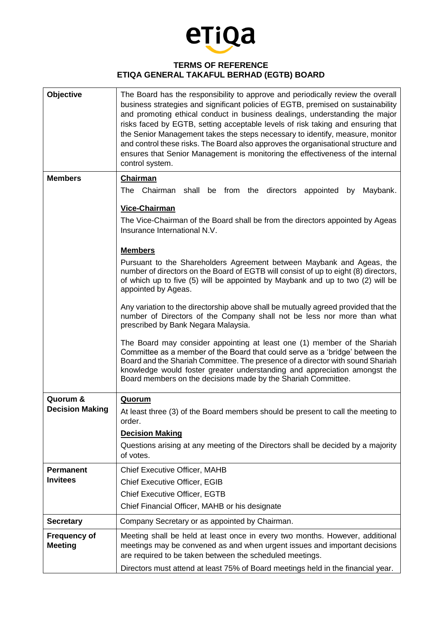

## **TERMS OF REFERENCE ETIQA GENERAL TAKAFUL BERHAD (EGTB) BOARD**

| Objective                             | The Board has the responsibility to approve and periodically review the overall<br>business strategies and significant policies of EGTB, premised on sustainability<br>and promoting ethical conduct in business dealings, understanding the major<br>risks faced by EGTB, setting acceptable levels of risk taking and ensuring that<br>the Senior Management takes the steps necessary to identify, measure, monitor<br>and control these risks. The Board also approves the organisational structure and<br>ensures that Senior Management is monitoring the effectiveness of the internal<br>control system. |
|---------------------------------------|------------------------------------------------------------------------------------------------------------------------------------------------------------------------------------------------------------------------------------------------------------------------------------------------------------------------------------------------------------------------------------------------------------------------------------------------------------------------------------------------------------------------------------------------------------------------------------------------------------------|
| <b>Members</b>                        | Chairman                                                                                                                                                                                                                                                                                                                                                                                                                                                                                                                                                                                                         |
|                                       | The Chairman shall be from<br>the directors appointed<br>Maybank.<br>by                                                                                                                                                                                                                                                                                                                                                                                                                                                                                                                                          |
|                                       | Vice-Chairman                                                                                                                                                                                                                                                                                                                                                                                                                                                                                                                                                                                                    |
|                                       | The Vice-Chairman of the Board shall be from the directors appointed by Ageas<br>Insurance International N.V.                                                                                                                                                                                                                                                                                                                                                                                                                                                                                                    |
|                                       | <b>Members</b>                                                                                                                                                                                                                                                                                                                                                                                                                                                                                                                                                                                                   |
|                                       | Pursuant to the Shareholders Agreement between Maybank and Ageas, the<br>number of directors on the Board of EGTB will consist of up to eight (8) directors,<br>of which up to five (5) will be appointed by Maybank and up to two (2) will be<br>appointed by Ageas.                                                                                                                                                                                                                                                                                                                                            |
|                                       | Any variation to the directorship above shall be mutually agreed provided that the<br>number of Directors of the Company shall not be less nor more than what<br>prescribed by Bank Negara Malaysia.                                                                                                                                                                                                                                                                                                                                                                                                             |
|                                       | The Board may consider appointing at least one (1) member of the Shariah<br>Committee as a member of the Board that could serve as a 'bridge' between the<br>Board and the Shariah Committee. The presence of a director with sound Shariah<br>knowledge would foster greater understanding and appreciation amongst the<br>Board members on the decisions made by the Shariah Committee.                                                                                                                                                                                                                        |
| Quorum &                              | <b>Quorum</b>                                                                                                                                                                                                                                                                                                                                                                                                                                                                                                                                                                                                    |
| <b>Decision Making</b>                | At least three (3) of the Board members should be present to call the meeting to                                                                                                                                                                                                                                                                                                                                                                                                                                                                                                                                 |
|                                       | order.                                                                                                                                                                                                                                                                                                                                                                                                                                                                                                                                                                                                           |
|                                       | <b>Decision Making</b>                                                                                                                                                                                                                                                                                                                                                                                                                                                                                                                                                                                           |
|                                       | Questions arising at any meeting of the Directors shall be decided by a majority<br>of votes.                                                                                                                                                                                                                                                                                                                                                                                                                                                                                                                    |
| <b>Permanent</b>                      | <b>Chief Executive Officer, MAHB</b>                                                                                                                                                                                                                                                                                                                                                                                                                                                                                                                                                                             |
| <b>Invitees</b>                       | <b>Chief Executive Officer, EGIB</b>                                                                                                                                                                                                                                                                                                                                                                                                                                                                                                                                                                             |
|                                       | <b>Chief Executive Officer, EGTB</b>                                                                                                                                                                                                                                                                                                                                                                                                                                                                                                                                                                             |
|                                       | Chief Financial Officer, MAHB or his designate                                                                                                                                                                                                                                                                                                                                                                                                                                                                                                                                                                   |
| <b>Secretary</b>                      | Company Secretary or as appointed by Chairman.                                                                                                                                                                                                                                                                                                                                                                                                                                                                                                                                                                   |
| <b>Frequency of</b><br><b>Meeting</b> | Meeting shall be held at least once in every two months. However, additional<br>meetings may be convened as and when urgent issues and important decisions<br>are required to be taken between the scheduled meetings.                                                                                                                                                                                                                                                                                                                                                                                           |
|                                       | Directors must attend at least 75% of Board meetings held in the financial year.                                                                                                                                                                                                                                                                                                                                                                                                                                                                                                                                 |